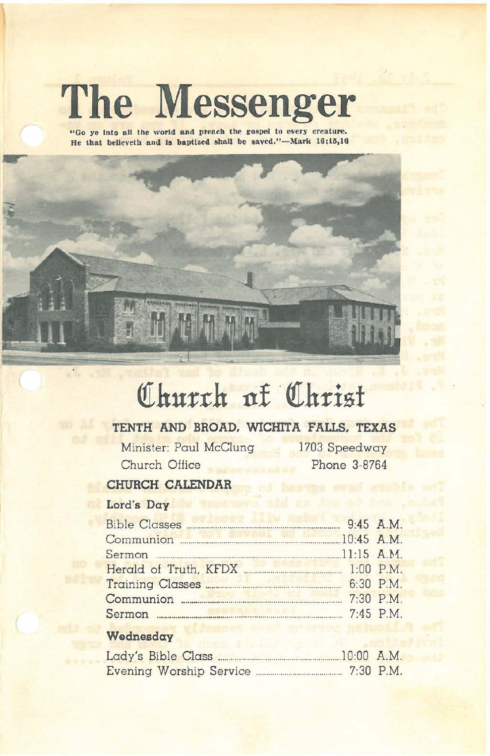# **The Messenger**

**"Go ye Into all the world and preach the gospel to every creature. He that bellevetb and. 18 baptized shall be laved/'-Mark 16:Ui,18**



## **QIhu:rrh 11£' QIh:risf**

## **TENTH AND BROAD. WICHITA FAllS. TEXAS**

Minister: Paul McClung 1703 Speedway Church Office Phone 3-8764

## **CHURCH CALENDAR**

## **Lord's Day**

| 9:45 A.M.<br>Bible Classes                               |           |
|----------------------------------------------------------|-----------|
| Communion 20:45 A.M.                                     |           |
|                                                          |           |
| 1:00 P.M.<br>Herald of Truth, KFDX                       |           |
|                                                          |           |
| Communion <b>Executive Communist Communist Communist</b> | 7:30 P.M. |
|                                                          | 7:45 P.M. |
|                                                          |           |

### **Wednesday**

| Lady's Bible Class      | $10:00$ A.M. |             |
|-------------------------|--------------|-------------|
| Evening Worship Service |              | $7:30$ P.M. |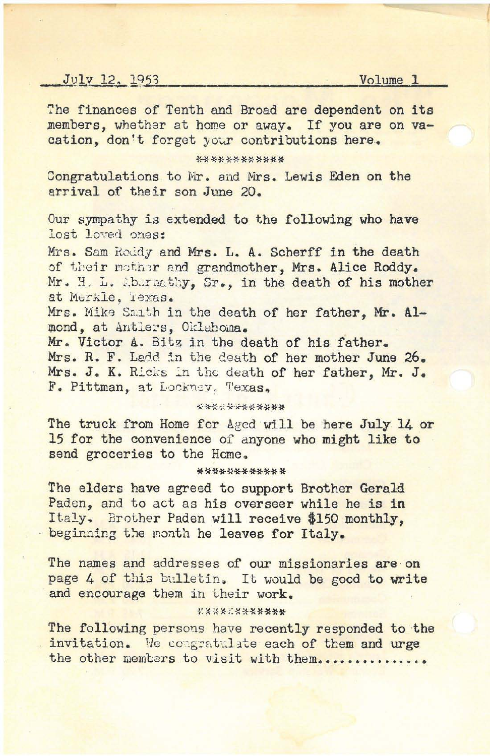#### -I!!<sup>1</sup>*<sup>v</sup>* l2..:-l9:;J5:21 ..:!.V;i.ol~um~e'\_"1'\_\_\_\_

The finances of Tenth and Broad are dependent on its members, whether at home or away. If you are on vacation, don't forget your contributions here.

#### \*\*\*\*\*\*\*\*\*\*\*\*

Congratulations to Mr. and Mrs. Lewis Eden on the arrival of their son June 20.

Our sympathy is extended to the following who have lost loved ones:

Mrs. Sam Roddy and Mrs. L. A. Scherff in the death of their mother and grandmother, Mrs. Alice Roddy. Mr. H. L. Abaraathy, Sr., in the death of his mother at Merkle, Texas.

Mrs. Mike Smith in the death of her father, Mr. Al $pond, at ant.$  **Oklahoma.** 

Mr. Victor A. Bitz in the death of his father. Mrs. R. F. Ladd in the death of her mother June 26. Mrs. J. K. Ricks in the death of her father, Mr. J. F. Pittman, at Lockney, Texas.

#### \*\*\*\*\*\*\*\*\*\*\*

The truck from Home for Aged will be here July 14 or 15 for the convenience of anyone who might like to send groceries to the Home.

#### **\*\*\*\*\*\*\*\*\*\*\*\***

The elders have agreed to support Brother Gerald Paden, and to act as his overseer while he is in Italy. Brother Paden will receive \$150 monthly, beginning the month he leaves for Italy.

The names and addresses of our missionaries are on page 4 of this bulletin. It would be good to write and encourage them in their work.

#### \*\*\*\*\*\*\*\*\*\*

The following persons have recently responded to the invitation. We congratulate each of them and urge the other members to visit with them..............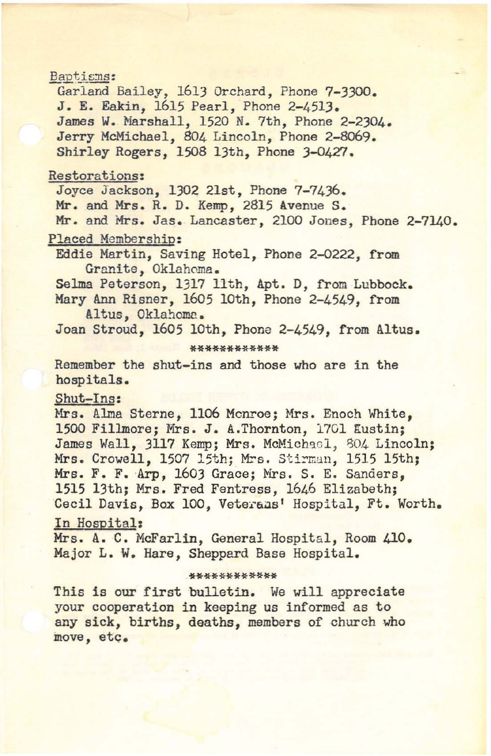## Baptisms: Garland Bailey, 1613 Orchard, Phone 7-3300. J. E. Eakin, 1615 Pearl, Phone 2-4513. James W. Marshall, 1520 N. 7th, Phone 2-2304. Jerry McMichael, 804 Lincoln, Phone 2-8069. Shirley Rogers, 1508 13th, Phone 3-0427. Restorations: Joyce Jackson, 1302 21st, Phone 7-7436. Mr. and Mrs. R. D. Kemp, 2815 Avenue S. Mr. and Mrs. Jas. Lancaster, 2100 Jones, Phone 2-7140. Placed Membership: Eddie Martin, Saving Hotel, Phone 2-0222, from Granite, Oklahoma. Selma Peterson, 1317 11th, Apt. D, from Lubbock. Mary Ann Risner, 1605 lOth, Phone 2-4549, from Altus, Oklahoma. Joan Stroud, 1605 10th, Phone 2-4549, from Altus. **\*\*\*\*\*\*\*\*\*\*\*\*** Remember the shut-ins and those who are in the hospitals. Shut-Ins: Mrs. Alma Sterne, 1106 Monroe; Mrs. Enoch White, 1500 Fillmore; Mrs. J. A.Thornton, 1701 Eustin; James Wall, 3117 Kemp; Mrs. McMichael, 804 Lincoln; Mrs. Crowell, 1507 15th; Mrs. Stirman, 1515 15th; Mrs. F. F. Arp, 1603 Grace; Mrs. S. E. Sanders, 1515 13th; Mrs. Fred Fentress, 1646 Elizabeth; Cecil Davis, Box 100, Veterans' Hospital, Ft. Worth. In Hospital: Mrs. A. C. McFarlin, General Hospital, Room 410. Major L. W. Hare, Sheppard Base Hospital. **.\*\*\*\*\*\*\*\*\*\*\*\*** This is our first bulletin. We will appreciate your cooperation in keeping us informed as to any sick, births, deaths, members of church who move, etc.